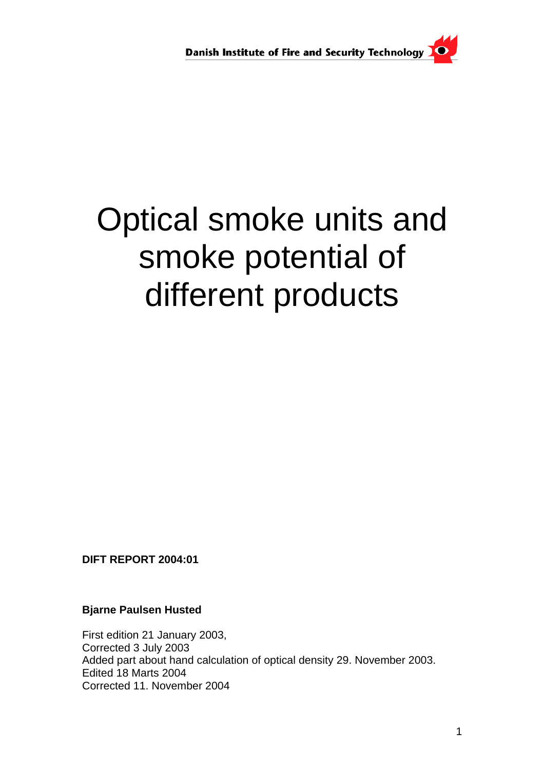

# Optical smoke units and smoke potential of different products

**DIFT REPORT 2004:01** 

**Bjarne Paulsen Husted** 

First edition 21 January 2003, Corrected 3 July 2003 Added part about hand calculation of optical density 29. November 2003. Edited 18 Marts 2004 Corrected 11. November 2004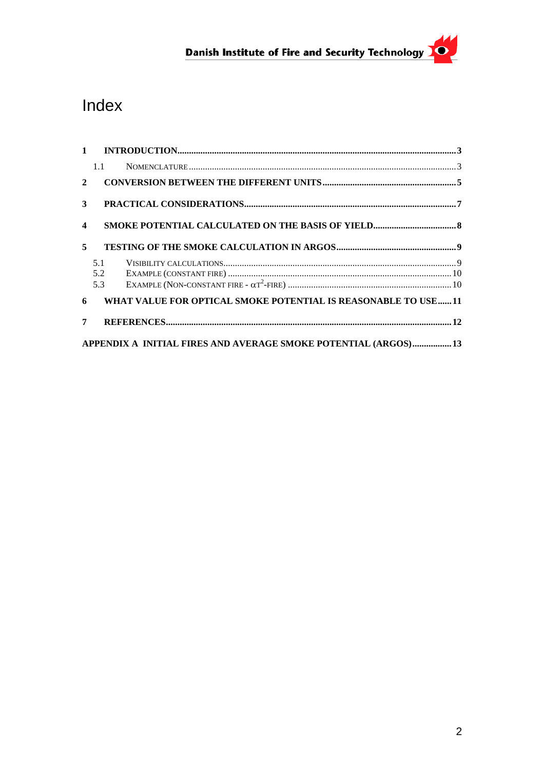## Danish Institute of Fire and Security Technology

### Index

|                         | 1.1                                                              |  |
|-------------------------|------------------------------------------------------------------|--|
| $\overline{2}$          |                                                                  |  |
| 3 <sup>1</sup>          |                                                                  |  |
| $\overline{\mathbf{4}}$ |                                                                  |  |
| 5                       |                                                                  |  |
|                         | 5.1                                                              |  |
|                         | 5.2                                                              |  |
|                         | 5.3                                                              |  |
|                         | 6 WHAT VALUE FOR OPTICAL SMOKE POTENTIAL IS REASONABLE TO USE 11 |  |
| 7                       |                                                                  |  |
|                         | APPENDIX A INITIAL FIRES AND AVERAGE SMOKE POTENTIAL (ARGOS) 13  |  |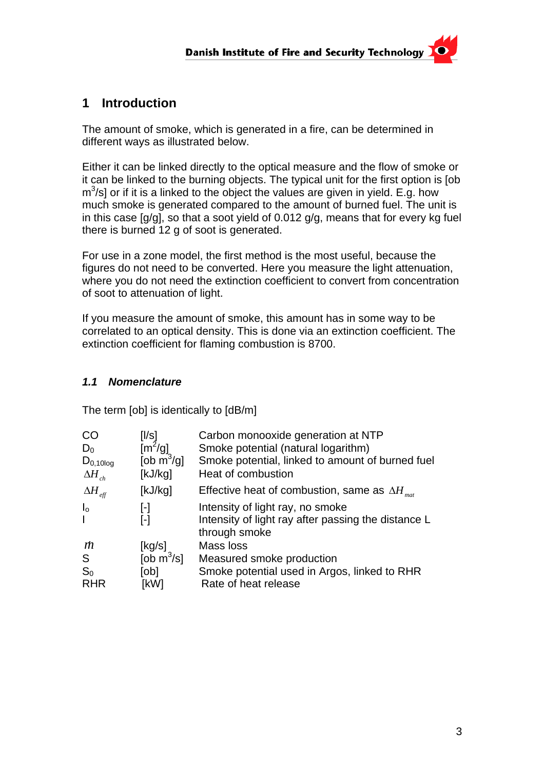#### <span id="page-2-0"></span>**1 Introduction**

The amount of smoke, which is generated in a fire, can be determined in different ways as illustrated below.

Either it can be linked directly to the optical measure and the flow of smoke or it can be linked to the burning objects. The typical unit for the first option is [ob  $m^3$ /s] or if it is a linked to the object the values are given in yield. E.g. how much smoke is generated compared to the amount of burned fuel. The unit is in this case [g/g], so that a soot yield of 0.012 g/g, means that for every kg fuel there is burned 12 g of soot is generated.

For use in a zone model, the first method is the most useful, because the figures do not need to be converted. Here you measure the light attenuation, where you do not need the extinction coefficient to convert from concentration of soot to attenuation of light.

If you measure the amount of smoke, this amount has in some way to be correlated to an optical density. This is done via an extinction coefficient. The extinction coefficient for flaming combustion is 8700.

#### *1.1 Nomenclature*

The term [ob] is identically to [dB/m]

| <b>CO</b>                       | [l/s]                            | Carbon monooxide generation at NTP                                   |
|---------------------------------|----------------------------------|----------------------------------------------------------------------|
| $D_0$                           | $\left[\frac{m^2}{g}\right]$     | Smoke potential (natural logarithm)                                  |
| $D_{0,10log}$                   | [ob $\mathsf{m}^3/\mathsf{gl}$ ] | Smoke potential, linked to amount of burned fuel                     |
| $\Delta H_{ch}$                 | [kJ/kg]                          | Heat of combustion                                                   |
| $\Delta H_{\textrm{\tiny eff}}$ | [kJ/kg]                          | Effective heat of combustion, same as $\Delta H_{mat}$               |
| $\mathsf{I}_{\mathsf{o}}$       | $\lbrack \cdot \rbrack$          | Intensity of light ray, no smoke                                     |
|                                 | $[\cdot]$                        | Intensity of light ray after passing the distance L<br>through smoke |
| m                               | [kg/s]                           | Mass loss                                                            |
| S                               | [ob $\overline{m}^3$ /s]         | Measured smoke production                                            |
| $S_0$                           | [ob]                             | Smoke potential used in Argos, linked to RHR                         |
| <b>RHR</b>                      | [kW]                             | Rate of heat release                                                 |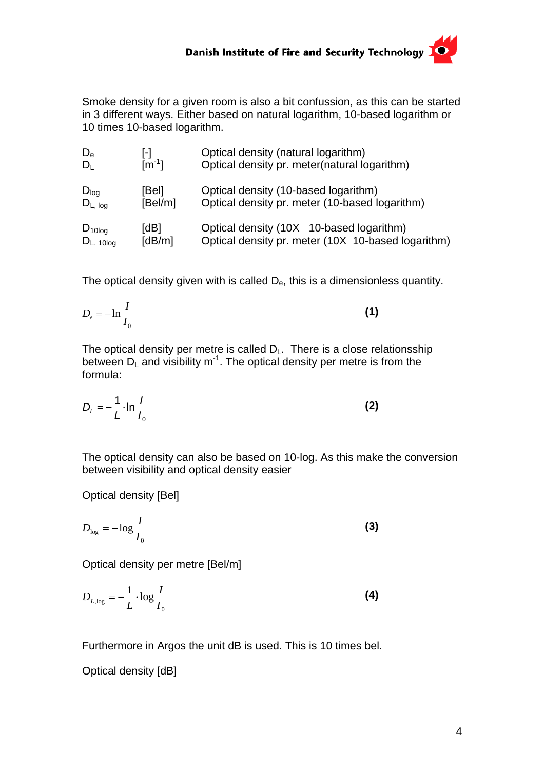Smoke density for a given room is also a bit confussion, as this can be started in 3 different ways. Either based on natural logarithm, 10-based logarithm or 10 times 10-based logarithm.

| $D_{\rm e}$         | l-l                         | Optical density (natural logarithm)                |
|---------------------|-----------------------------|----------------------------------------------------|
| $D_1$               | $\mathsf{Im}^{\text{-}1}$ l | Optical density pr. meter(natural logarithm)       |
| $D_{log}$           | [Bel]                       | Optical density (10-based logarithm)               |
| $D_{L, \text{log}}$ | [Bel/m]                     | Optical density pr. meter (10-based logarithm)     |
| $D_{10log}$         | [dB]                        | Optical density (10X 10-based logarithm)           |
| $D_{L, 10log}$      | [dB/m]                      | Optical density pr. meter (10X 10-based logarithm) |

The optical density given with is called  $D_{e}$ , this is a dimensionless quantity.

$$
D_e = -\ln\frac{I}{I_0} \tag{1}
$$

The optical density per metre is called  $D_L$ . There is a close relationsship between  $D_1$  and visibility m<sup>-1</sup>. The optical density per metre is from the formula:

$$
D_{L} = -\frac{1}{L} \cdot \ln \frac{I}{I_0}
$$
 (2)

The optical density can also be based on 10-log. As this make the conversion between visibility and optical density easier

Optical density [Bel]

$$
D_{\log} = -\log \frac{I}{I_0} \tag{3}
$$

Optical density per metre [Bel/m]

$$
D_{L, \log} = -\frac{1}{L} \cdot \log \frac{I}{I_0} \tag{4}
$$

Furthermore in Argos the unit dB is used. This is 10 times bel.

Optical density [dB]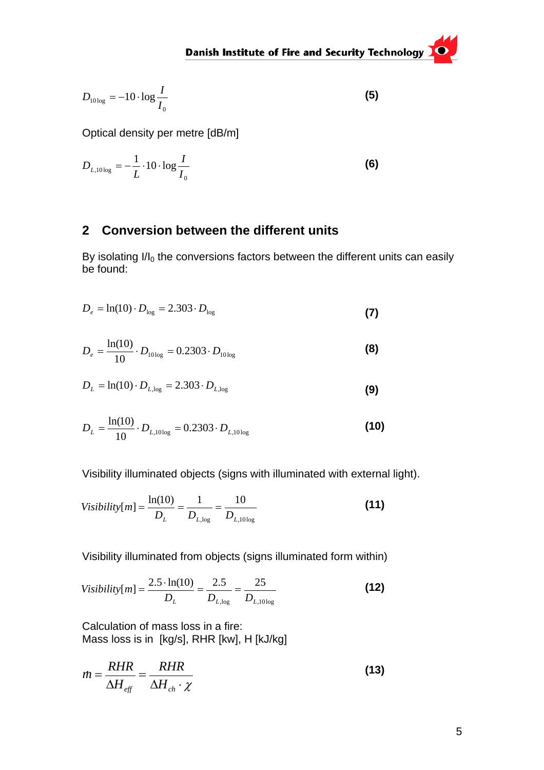<span id="page-4-0"></span>
$$
D_{10\log} = -10 \cdot \log \frac{I}{I_0} \tag{5}
$$

Optical density per metre [dB/m]

$$
D_{L,10\log} = -\frac{1}{L} \cdot 10 \cdot \log \frac{I}{I_0}
$$
 (6)

#### **2 Conversion between the different units**

By isolating  $I/I_0$  the conversions factors between the different units can easily be found:

$$
D_e = \ln(10) \cdot D_{\text{log}} = 2.303 \cdot D_{\text{log}}
$$
 (7)

$$
D_e = \frac{\ln(10)}{10} \cdot D_{10 \log} = 0.2303 \cdot D_{10 \log} \tag{8}
$$

$$
D_{L} = \ln(10) \cdot D_{L, \text{log}} = 2.303 \cdot D_{L, \text{log}}
$$
 (9)

$$
D_{L} = \frac{\ln(10)}{10} \cdot D_{L,10\log} = 0.2303 \cdot D_{L,10\log}
$$
 (10)

Visibility illuminated objects (signs with illuminated with external light).

$$
Visibility[m] = \frac{\ln(10)}{D_L} = \frac{1}{D_{L, \log}} = \frac{10}{D_{L, 10 \log}} \tag{11}
$$

Visibility illuminated from objects (signs illuminated form within)

$$
Visibility[m] = \frac{2.5 \cdot \ln(10)}{D_L} = \frac{2.5}{D_{L, \log}} = \frac{25}{D_{L, 10 \log}} \tag{12}
$$

Calculation of mass loss in a fire: Mass loss is in [kg/s], RHR [kw], H [kJ/kg]

$$
\dot{m} = \frac{RHR}{\Delta H_{\text{eff}}} = \frac{RHR}{\Delta H_{\text{ch}} \cdot \chi} \tag{13}
$$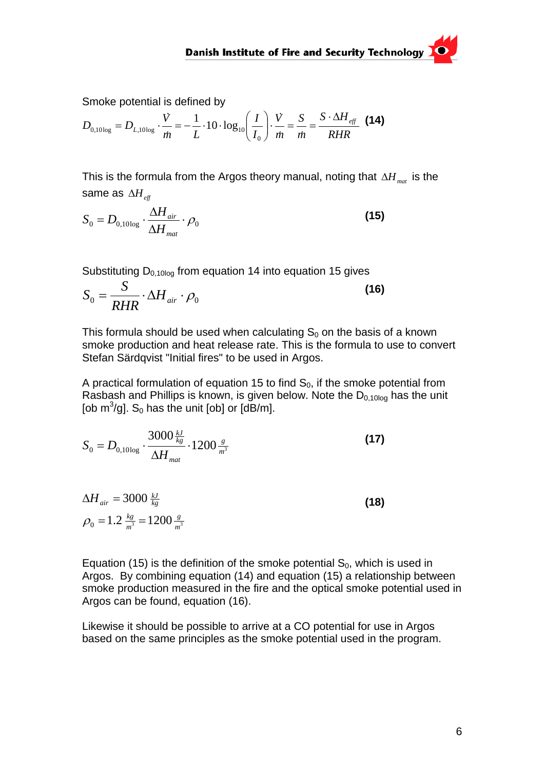Smoke potential is defined by

$$
D_{0,10\log} = D_{L,10\log} \cdot \frac{\dot{V}}{\dot{m}} = -\frac{1}{L} \cdot 10 \cdot \log_{10} \left(\frac{I}{I_0}\right) \cdot \frac{\dot{V}}{\dot{m}} = \frac{S}{\dot{m}} = \frac{S \cdot \Delta H_{\text{eff}}}{RHR} \tag{14}
$$

This is the formula from the Argos theory manual, noting that  $\Delta H_{\text{mat}}$  is the same as  $\Delta H_{\text{eff}}$ 

$$
S_0 = D_{0,10\log} \cdot \frac{\Delta H_{air}}{\Delta H_{mat}} \cdot \rho_0
$$
\n(15)

Substituting  $D_{0,10log}$  from equation 14 into equation 15 gives

$$
S_0 = \frac{S}{RHR} \cdot \Delta H_{air} \cdot \rho_0
$$
 (16)

This formula should be used when calculating  $S_0$  on the basis of a known smoke production and heat release rate. This is the formula to use to convert Stefan Särdqvist "Initial fires" to be used in Argos.

A practical formulation of equation 15 to find  $S_0$ , if the smoke potential from Rasbash and Phillips is known, is given below. Note the  $D_{0.1000}$  has the unit [ob  $\mathrm{m}^3/\mathrm{g}$ ]. S<sub>0</sub> has the unit [ob] or [dB/m].

$$
S_0 = D_{0,10\log} \cdot \frac{3000 \frac{kJ}{kg}}{\Delta H_{mat}} \cdot 1200 \frac{s}{m^3}
$$
 (17)

$$
\Delta H_{air} = 3000 \frac{kJ}{kg}
$$
  
\n
$$
\rho_0 = 1.2 \frac{kg}{m^3} = 1200 \frac{g}{m^3}
$$
\n(18)

Equation (15) is the definition of the smoke potential  $S_0$ , which is used in Argos. By combining equation (14) and equation (15) a relationship between smoke production measured in the fire and the optical smoke potential used in Argos can be found, equation (16).

Likewise it should be possible to arrive at a CO potential for use in Argos based on the same principles as the smoke potential used in the program.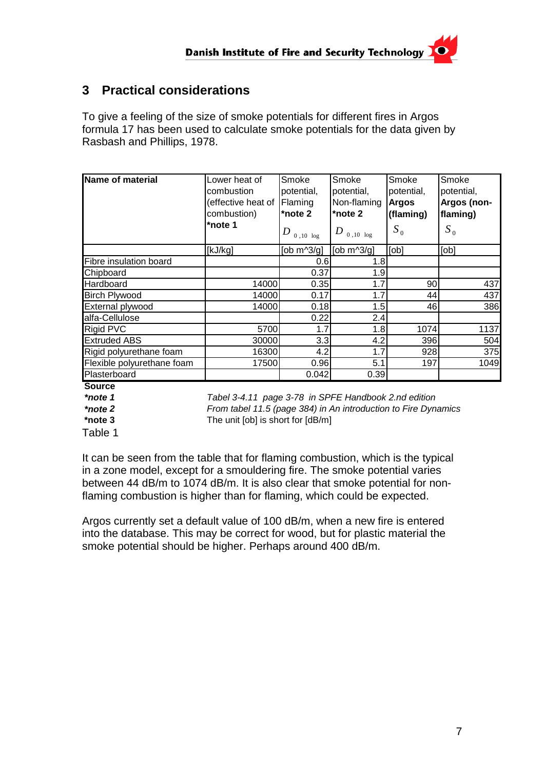#### <span id="page-6-0"></span>**3 Practical considerations**

To give a feeling of the size of smoke potentials for different fires in Argos formula 17 has been used to calculate smoke potentials for the data given by Rasbash and Phillips, 1978.

| Name of material           | Lower heat of<br>combustion<br>effective heat of Flaming<br>combustion)<br>*note 1 | Smoke<br>potential,<br>*note 2<br>$D_{\scriptsize{0\,,10\,\text{log}}}$ | Smoke<br>potential,<br>Non-flaming<br>*note 2<br>$D_{\scriptscriptstyle\hspace{0.3mm}0\, ,\hspace{0.3mm}10\hspace{0.3mm} \log}$ | Smoke<br>potential,<br><b>Argos</b><br>(flaming)<br>$S_0$ | Smoke<br>potential,<br>Argos (non-<br>flaming)<br>$S_0$ |
|----------------------------|------------------------------------------------------------------------------------|-------------------------------------------------------------------------|---------------------------------------------------------------------------------------------------------------------------------|-----------------------------------------------------------|---------------------------------------------------------|
|                            | [kJ/kg]                                                                            | [ob $m^3/g$ ]                                                           | [ob $m^3/q$ ]                                                                                                                   | [ <sub>obj</sub> ]                                        | [obj]                                                   |
| Fibre insulation board     |                                                                                    | 0.6                                                                     | 1.8                                                                                                                             |                                                           |                                                         |
| Chipboard                  |                                                                                    | 0.37                                                                    | 1.9                                                                                                                             |                                                           |                                                         |
| Hardboard                  | 14000                                                                              | 0.35                                                                    | 1.7                                                                                                                             | 90                                                        | 437                                                     |
| <b>Birch Plywood</b>       | 14000                                                                              | 0.17                                                                    | 1.7                                                                                                                             | 44                                                        | 437                                                     |
| External plywood           | 14000                                                                              | 0.18                                                                    | 1.5                                                                                                                             | 461                                                       | 386                                                     |
| alfa-Cellulose             |                                                                                    | 0.22                                                                    | 2.4                                                                                                                             |                                                           |                                                         |
| Rigid PVC                  | 5700                                                                               | 1.7                                                                     | 1.8                                                                                                                             | 1074                                                      | 1137                                                    |
| <b>Extruded ABS</b>        | 30000                                                                              | 3.3                                                                     | 4.2                                                                                                                             | 396                                                       | 504                                                     |
| Rigid polyurethane foam    | 16300                                                                              | 4.2                                                                     | 1.7                                                                                                                             | 928                                                       | 375                                                     |
| Flexible polyurethane foam | 17500                                                                              | 0.96                                                                    | 5.1                                                                                                                             | 197                                                       | 1049                                                    |
| Plasterboard               |                                                                                    | 0.042                                                                   | 0.39                                                                                                                            |                                                           |                                                         |

**Source**

*\*note 1 Tabel 3-4.11 page 3-78 in SPFE Handbook 2.nd edition \*note 2 From tabel 11.5 (page 384) in An introduction to Fire Dynamics* **\*note 3** The unit [ob] is short for [dB/m]

Table 1

It can be seen from the table that for flaming combustion, which is the typical in a zone model, except for a smouldering fire. The smoke potential varies between 44 dB/m to 1074 dB/m. It is also clear that smoke potential for nonflaming combustion is higher than for flaming, which could be expected.

Argos currently set a default value of 100 dB/m, when a new fire is entered into the database. This may be correct for wood, but for plastic material the smoke potential should be higher. Perhaps around 400 dB/m.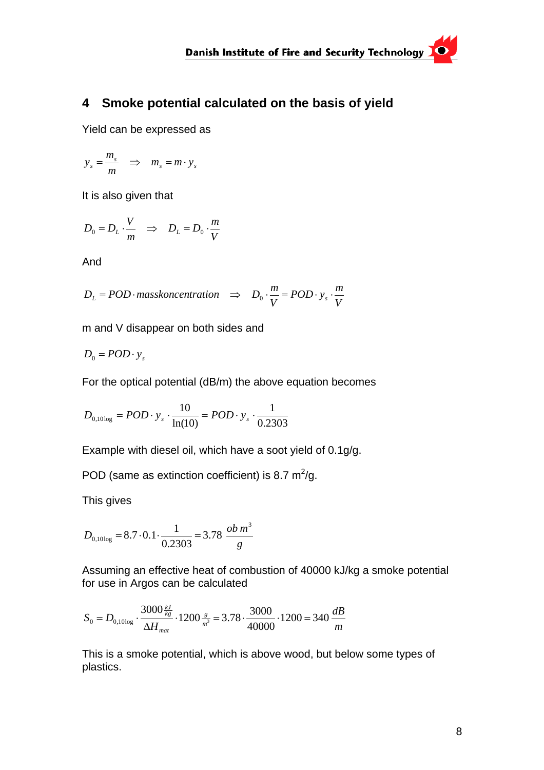#### <span id="page-7-0"></span>**4 Smoke potential calculated on the basis of yield**

Yield can be expressed as

$$
y_s = \frac{m_s}{m} \Rightarrow m_s = m \cdot y_s
$$

It is also given that

$$
D_0 = D_L \cdot \frac{V}{m} \Rightarrow D_L = D_0 \cdot \frac{m}{V}
$$

And

$$
D_L = POD \cdot masskoneentration \Rightarrow D_0 \cdot \frac{m}{V} = POD \cdot y_s \cdot \frac{m}{V}
$$

m and V disappear on both sides and

$$
D_0 = POD \cdot y_s
$$

For the optical potential (dB/m) the above equation becomes

$$
D_{0,10 \log} = POD \cdot y_s \cdot \frac{10}{\ln(10)} = POD \cdot y_s \cdot \frac{1}{0.2303}
$$

Example with diesel oil, which have a soot yield of 0.1g/g.

POD (same as extinction coefficient) is 8.7  $m^2/g$ .

This gives

$$
D_{0,10\log} = 8.7 \cdot 0.1 \cdot \frac{1}{0.2303} = 3.78 \frac{ob \, m^3}{g}
$$

Assuming an effective heat of combustion of 40000 kJ/kg a smoke potential for use in Argos can be calculated

$$
S_0 = D_{0,10\log} \cdot \frac{3000 \frac{kJ}{kg}}{\Delta H_{mat}} \cdot 1200 \frac{s}{m^3} = 3.78 \cdot \frac{3000}{40000} \cdot 1200 = 340 \frac{dB}{m}
$$

This is a smoke potential, which is above wood, but below some types of plastics.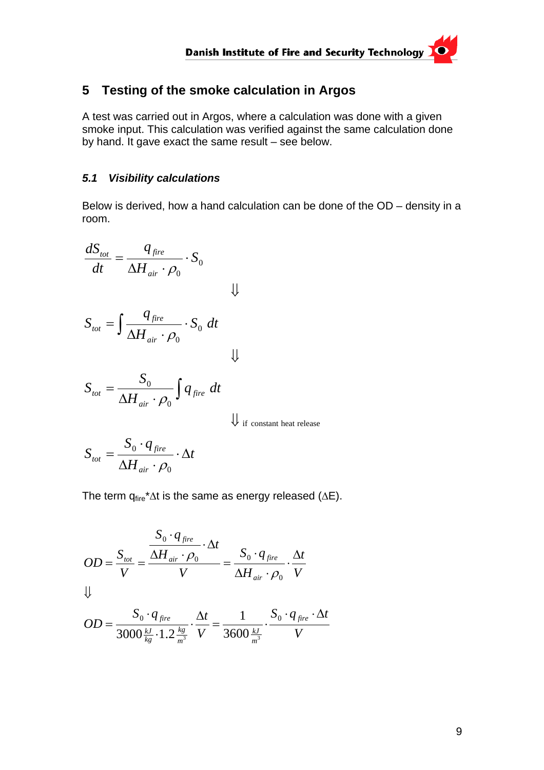#### <span id="page-8-0"></span>**5 Testing of the smoke calculation in Argos**

A test was carried out in Argos, where a calculation was done with a given smoke input. This calculation was verified against the same calculation done by hand. It gave exact the same result – see below.

#### *5.1 Visibility calculations*

Below is derived, how a hand calculation can be done of the OD – density in a room.

$$
\frac{dS_{tot}}{dt} = \frac{q_{fire}}{\Delta H_{air} \cdot \rho_0} \cdot S_0
$$
\n
$$
S_{tot} = \int \frac{q_{fire}}{\Delta H_{air} \cdot \rho_0} \cdot S_0 dt
$$
\n
$$
S_{tot} = \frac{S_0}{\Delta H_{air} \cdot \rho_0} \int q_{fire} dt
$$
\n
$$
S_{tot} = \frac{S_0 \cdot q_{fire}}{\Delta H_{air} \cdot \rho_0} \cdot \Delta t
$$
\n
$$
\downarrow
$$
if constant heat release

 $\rho_{\scriptscriptstyle 0}$ 

The term  $q_{fire}^* \Delta t$  is the same as energy released ( $\Delta E$ ).

$$
OD = \frac{S_{tot}}{V} = \frac{\frac{S_0 \cdot q_{fire}}{\Delta H_{air} \cdot \rho_0} \cdot \Delta t}{V} = \frac{S_0 \cdot q_{fire}}{\Delta H_{air} \cdot \rho_0} \cdot \frac{\Delta t}{V}
$$

$$
OD = \frac{S_0 \cdot q_{fire}}{3000 \frac{k}{kg} \cdot 1.2 \frac{kg}{m^3}} \cdot \frac{\Delta t}{V} = \frac{1}{3600 \frac{kJ}{m^3}} \cdot \frac{S_0 \cdot q_{fire} \cdot \Delta t}{V}
$$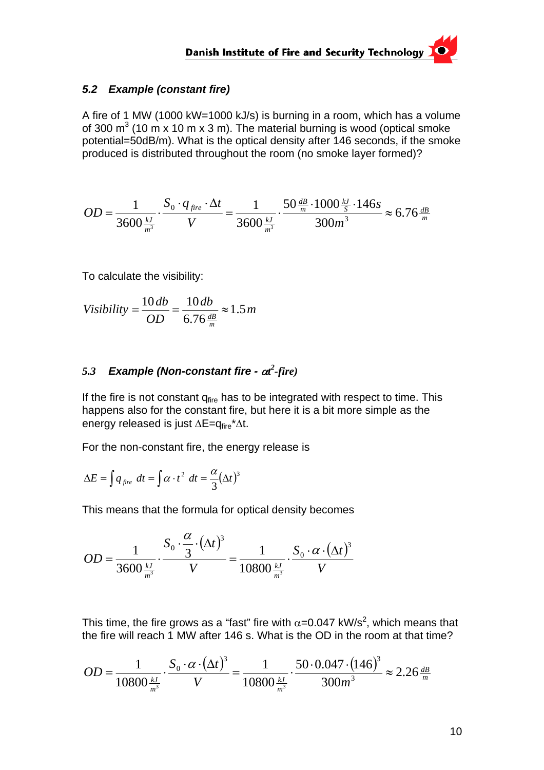#### <span id="page-9-0"></span>*5.2 Example (constant fire)*

A fire of 1 MW (1000 kW=1000 kJ/s) is burning in a room, which has a volume of 300  $\text{m}^3$  (10 m x 10 m x 3 m). The material burning is wood (optical smoke potential=50dB/m). What is the optical density after 146 seconds, if the smoke produced is distributed throughout the room (no smoke layer formed)?

$$
OD = \frac{1}{3600 \frac{kJ}{m^3}} \cdot \frac{S_0 \cdot q_{fire} \cdot \Delta t}{V} = \frac{1}{3600 \frac{kJ}{m^3}} \cdot \frac{50 \frac{dB}{m} \cdot 1000 \frac{kJ}{s} \cdot 146s}{300 m^3} \approx 6.76 \frac{dB}{m}
$$

To calculate the visibility:

$$
Visibility = \frac{10 \, db}{OD} = \frac{10 \, db}{6.76 \frac{dB}{m}} \approx 1.5 \, m
$$

#### *5.3 Example (Non-constant fire -* α*t 2 -fire)*

If the fire is not constant  $q_{\text{fire}}$  has to be integrated with respect to time. This happens also for the constant fire, but here it is a bit more simple as the energy released is just ΔE=q<sub>fire</sub>\*Δt.

For the non-constant fire, the energy release is

$$
\Delta E = \int q_{\text{fire}} dt = \int \alpha \cdot t^2 dt = \frac{\alpha}{3} (\Delta t)^3
$$

This means that the formula for optical density becomes

$$
OD = \frac{1}{3600 \frac{kJ}{m^3}} \cdot \frac{S_0 \cdot \frac{\alpha}{3} \cdot (\Delta t)^3}{V} = \frac{1}{10800 \frac{kJ}{m^3}} \cdot \frac{S_0 \cdot \alpha \cdot (\Delta t)^3}{V}
$$

This time, the fire grows as a "fast" fire with  $\alpha$ =0.047 kW/s<sup>2</sup>, which means that the fire will reach 1 MW after 146 s. What is the OD in the room at that time?

$$
OD = \frac{1}{10800 \frac{kJ}{m^3}} \cdot \frac{S_0 \cdot \alpha \cdot (\Delta t)^3}{V} = \frac{1}{10800 \frac{kJ}{m^3}} \cdot \frac{50 \cdot 0.047 \cdot (146)^3}{300 m^3} \approx 2.26 \frac{dB}{m}
$$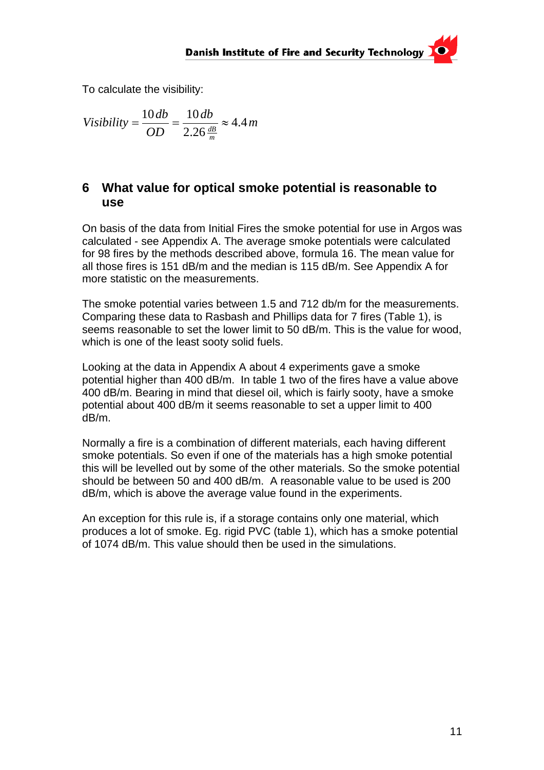<span id="page-10-0"></span>To calculate the visibility:

$$
Visibility = \frac{10 \, db}{OD} = \frac{10 \, db}{2.26 \frac{dB}{m}} \approx 4.4 \, m
$$

#### **6 What value for optical smoke potential is reasonable to use**

On basis of the data from Initial Fires the smoke potential for use in Argos was calculated - see Appendix A. The average smoke potentials were calculated for 98 fires by the methods described above, formula 16. The mean value for all those fires is 151 dB/m and the median is 115 dB/m. See Appendix A for more statistic on the measurements.

The smoke potential varies between 1.5 and 712 db/m for the measurements. Comparing these data to Rasbash and Phillips data for 7 fires (Table 1), is seems reasonable to set the lower limit to 50 dB/m. This is the value for wood, which is one of the least sooty solid fuels.

Looking at the data in Appendix A about 4 experiments gave a smoke potential higher than 400 dB/m. In table 1 two of the fires have a value above 400 dB/m. Bearing in mind that diesel oil, which is fairly sooty, have a smoke potential about 400 dB/m it seems reasonable to set a upper limit to 400 dB/m.

Normally a fire is a combination of different materials, each having different smoke potentials. So even if one of the materials has a high smoke potential this will be levelled out by some of the other materials. So the smoke potential should be between 50 and 400 dB/m. A reasonable value to be used is 200 dB/m, which is above the average value found in the experiments.

An exception for this rule is, if a storage contains only one material, which produces a lot of smoke. Eg. rigid PVC (table 1), which has a smoke potential of 1074 dB/m. This value should then be used in the simulations.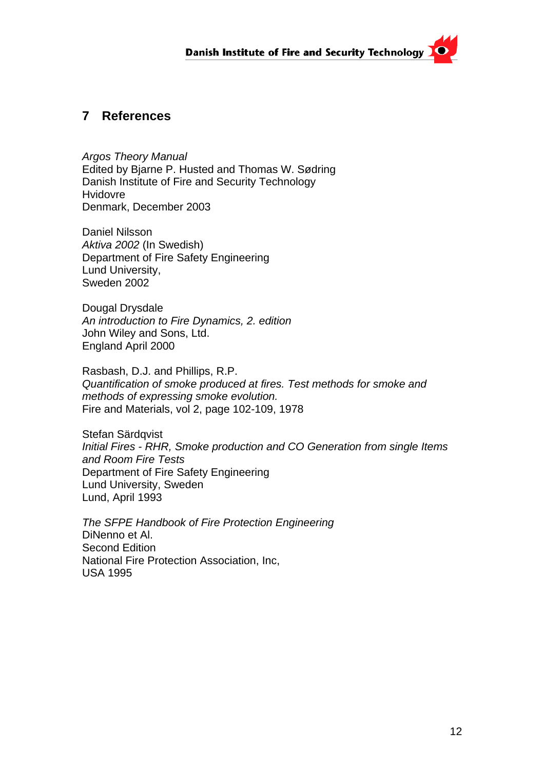#### <span id="page-11-0"></span>**7 References**

*Argos Theory Manual*  Edited by Bjarne P. Husted and Thomas W. Sødring Danish Institute of Fire and Security Technology Hvidovre Denmark, December 2003

Daniel Nilsson *Aktiva 2002* (In Swedish) Department of Fire Safety Engineering Lund University, Sweden 2002

Dougal Drysdale *An introduction to Fire Dynamics, 2. edition* John Wiley and Sons, Ltd. England April 2000

Rasbash, D.J. and Phillips, R.P. *Quantification of smoke produced at fires. Test methods for smoke and methods of expressing smoke evolution.*  Fire and Materials, vol 2, page 102-109, 1978

Stefan Särdqvist *Initial Fires - RHR, Smoke production and CO Generation from single Items and Room Fire Tests* Department of Fire Safety Engineering Lund University, Sweden Lund, April 1993

*The SFPE Handbook of Fire Protection Engineering*  DiNenno et Al. Second Edition National Fire Protection Association, Inc, USA 1995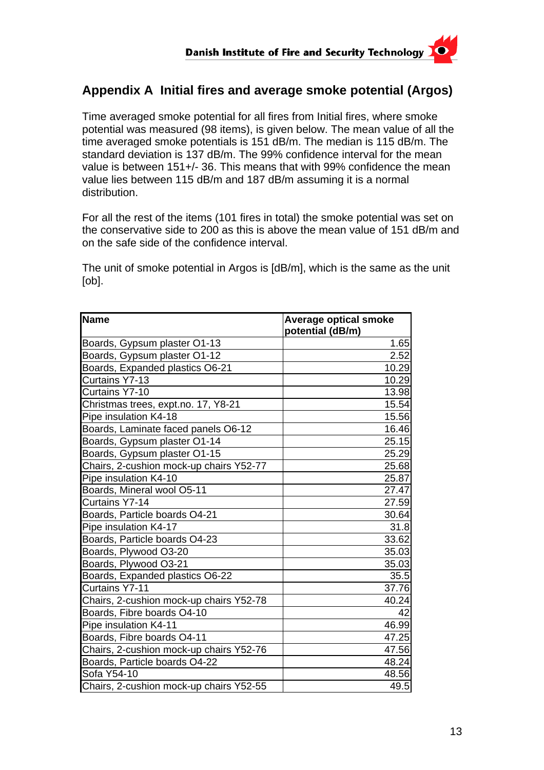#### <span id="page-12-0"></span>**Appendix A Initial fires and average smoke potential (Argos)**

Time averaged smoke potential for all fires from Initial fires, where smoke potential was measured (98 items), is given below. The mean value of all the time averaged smoke potentials is 151 dB/m. The median is 115 dB/m. The standard deviation is 137 dB/m. The 99% confidence interval for the mean value is between 151+/- 36. This means that with 99% confidence the mean value lies between 115 dB/m and 187 dB/m assuming it is a normal distribution.

For all the rest of the items (101 fires in total) the smoke potential was set on the conservative side to 200 as this is above the mean value of 151 dB/m and on the safe side of the confidence interval.

The unit of smoke potential in Argos is [dB/m], which is the same as the unit [ob].

| <b>Name</b>                             | <b>Average optical smoke</b> |
|-----------------------------------------|------------------------------|
|                                         | potential (dB/m)             |
| Boards, Gypsum plaster O1-13            | 1.65                         |
| Boards, Gypsum plaster O1-12            | 2.52                         |
| Boards, Expanded plastics O6-21         | 10.29                        |
| Curtains Y7-13                          | 10.29                        |
| Curtains Y7-10                          | 13.98                        |
| Christmas trees, expt.no. 17, Y8-21     | 15.54                        |
| Pipe insulation K4-18                   | 15.56                        |
| Boards, Laminate faced panels O6-12     | 16.46                        |
| Boards, Gypsum plaster O1-14            | 25.15                        |
| Boards, Gypsum plaster O1-15            | 25.29                        |
| Chairs, 2-cushion mock-up chairs Y52-77 | 25.68                        |
| Pipe insulation K4-10                   | 25.87                        |
| Boards, Mineral wool O5-11              | 27.47                        |
| Curtains Y7-14                          | 27.59                        |
| Boards, Particle boards O4-21           | 30.64                        |
| Pipe insulation K4-17                   | 31.8                         |
| Boards, Particle boards O4-23           | 33.62                        |
| Boards, Plywood O3-20                   | 35.03                        |
| Boards, Plywood O3-21                   | 35.03                        |
| Boards, Expanded plastics O6-22         | 35.5                         |
| <b>Curtains Y7-11</b>                   | 37.76                        |
| Chairs, 2-cushion mock-up chairs Y52-78 | 40.24                        |
| Boards, Fibre boards O4-10              | 42                           |
| Pipe insulation K4-11                   | 46.99                        |
| Boards, Fibre boards O4-11              | 47.25                        |
| Chairs, 2-cushion mock-up chairs Y52-76 | 47.56                        |
| Boards, Particle boards O4-22           | 48.24                        |
| Sofa Y54-10                             | 48.56                        |
| Chairs, 2-cushion mock-up chairs Y52-55 | 49.5                         |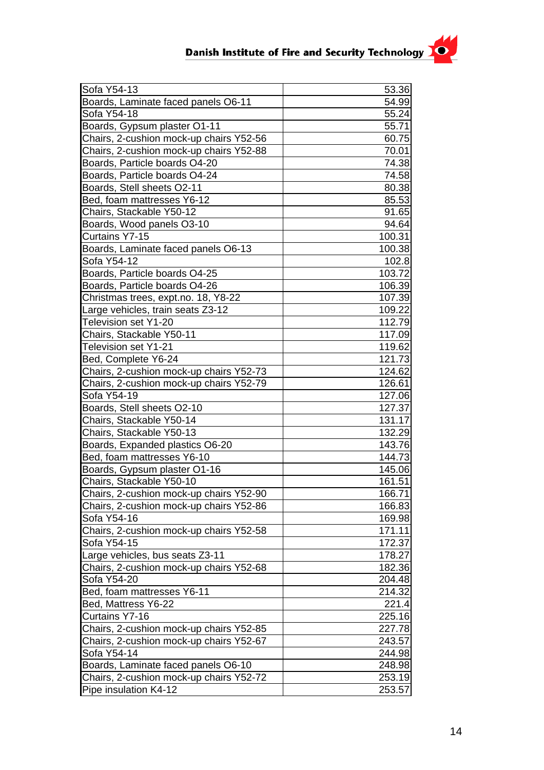| Sofa Y54-13                             | 53.36  |
|-----------------------------------------|--------|
| Boards, Laminate faced panels O6-11     | 54.99  |
| Sofa Y54-18                             | 55.24  |
| Boards, Gypsum plaster O1-11            | 55.71  |
| Chairs, 2-cushion mock-up chairs Y52-56 | 60.75  |
| Chairs, 2-cushion mock-up chairs Y52-88 | 70.01  |
| Boards, Particle boards O4-20           | 74.38  |
| Boards, Particle boards O4-24           | 74.58  |
| Boards, Stell sheets O2-11              | 80.38  |
| Bed, foam mattresses Y6-12              | 85.53  |
| Chairs, Stackable Y50-12                | 91.65  |
| Boards, Wood panels O3-10               | 94.64  |
| Curtains Y7-15                          | 100.31 |
| Boards, Laminate faced panels O6-13     | 100.38 |
| Sofa Y54-12                             | 102.8  |
| Boards, Particle boards O4-25           | 103.72 |
| Boards, Particle boards O4-26           | 106.39 |
| Christmas trees, expt.no. 18, Y8-22     | 107.39 |
| Large vehicles, train seats Z3-12       | 109.22 |
| Television set Y1-20                    | 112.79 |
| Chairs, Stackable Y50-11                | 117.09 |
| <b>Television set Y1-21</b>             | 119.62 |
| Bed, Complete Y6-24                     | 121.73 |
| Chairs, 2-cushion mock-up chairs Y52-73 | 124.62 |
| Chairs, 2-cushion mock-up chairs Y52-79 | 126.61 |
| Sofa Y54-19                             | 127.06 |
| Boards, Stell sheets O2-10              | 127.37 |
| Chairs, Stackable Y50-14                | 131.17 |
| Chairs, Stackable Y50-13                | 132.29 |
| Boards, Expanded plastics O6-20         | 143.76 |
| Bed, foam mattresses Y6-10              | 144.73 |
| Boards, Gypsum plaster O1-16            | 145.06 |
| Chairs, Stackable Y50-10                | 161.51 |
| Chairs, 2-cushion mock-up chairs Y52-90 | 166.71 |
| Chairs, 2-cushion mock-up chairs Y52-86 | 166.83 |
| Sofa Y54-16                             | 169.98 |
| Chairs, 2-cushion mock-up chairs Y52-58 | 171.11 |
| Sofa Y54-15                             | 172.37 |
| Large vehicles, bus seats Z3-11         | 178.27 |
| Chairs, 2-cushion mock-up chairs Y52-68 | 182.36 |
| Sofa Y54-20                             | 204.48 |
| Bed, foam mattresses Y6-11              | 214.32 |
| Bed, Mattress Y6-22                     | 221.4  |
| <b>Curtains Y7-16</b>                   | 225.16 |
| Chairs, 2-cushion mock-up chairs Y52-85 | 227.78 |
| Chairs, 2-cushion mock-up chairs Y52-67 | 243.57 |
| Sofa Y54-14                             | 244.98 |
| Boards, Laminate faced panels O6-10     | 248.98 |
| Chairs, 2-cushion mock-up chairs Y52-72 | 253.19 |
| Pipe insulation K4-12                   | 253.57 |